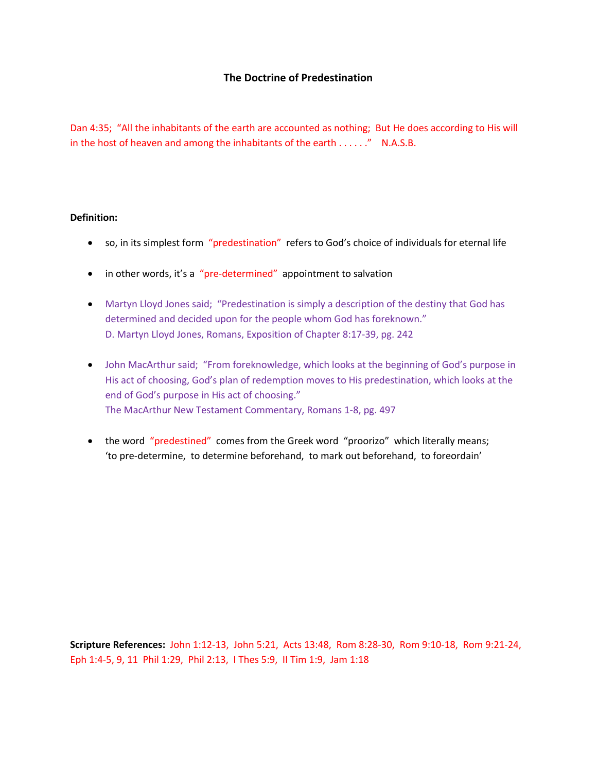# **The Doctrine of Predestination**

Dan 4:35; "All the inhabitants of the earth are accounted as nothing; But He does according to His will in the host of heaven and among the inhabitants of the earth . . . . . ." N.A.S.B.

### **Definition:**

- so, in its simplest form "predestination" refers to God's choice of individuals for eternal life
- in other words, it's a "pre-determined" appointment to salvation
- Martyn Lloyd Jones said; "Predestination is simply a description of the destiny that God has determined and decided upon for the people whom God has foreknown." D. Martyn Lloyd Jones, Romans, Exposition of Chapter 8:17-39, pg. 242
- John MacArthur said; "From foreknowledge, which looks at the beginning of God's purpose in His act of choosing, God's plan of redemption moves to His predestination, which looks at the end of God's purpose in His act of choosing." The MacArthur New Testament Commentary, Romans 1-8, pg. 497
- the word "predestined" comes from the Greek word "proorizo" which literally means; 'to pre-determine, to determine beforehand, to mark out beforehand, to foreordain'

**Scripture References:** John 1:12-13, John 5:21, Acts 13:48, Rom 8:28-30, Rom 9:10-18, Rom 9:21-24, Eph 1:4-5, 9, 11 Phil 1:29, Phil 2:13, I Thes 5:9, II Tim 1:9, Jam 1:18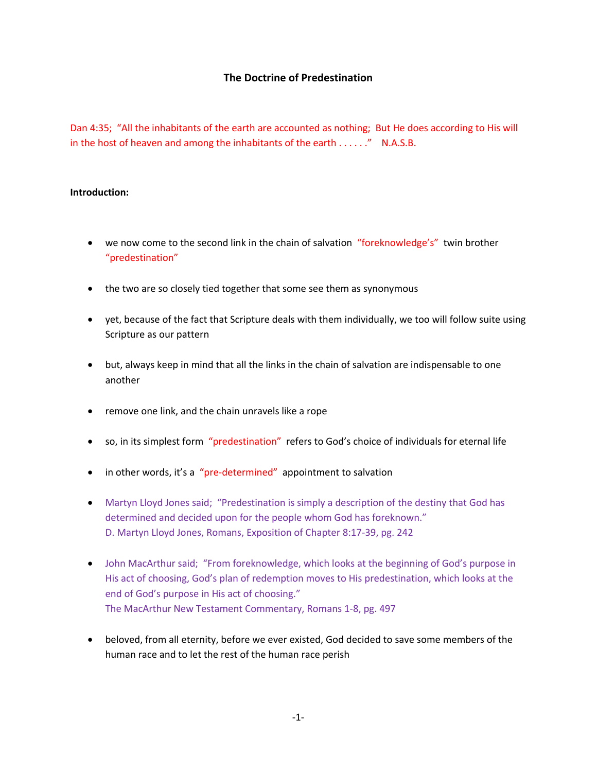# **The Doctrine of Predestination**

Dan 4:35; "All the inhabitants of the earth are accounted as nothing; But He does according to His will in the host of heaven and among the inhabitants of the earth . . . . . ." N.A.S.B.

## **Introduction:**

- we now come to the second link in the chain of salvation "foreknowledge's" twin brother "predestination"
- the two are so closely tied together that some see them as synonymous
- yet, because of the fact that Scripture deals with them individually, we too will follow suite using Scripture as our pattern
- but, always keep in mind that all the links in the chain of salvation are indispensable to one another
- remove one link, and the chain unravels like a rope
- so, in its simplest form "predestination" refers to God's choice of individuals for eternal life
- in other words, it's a "pre-determined" appointment to salvation
- Martyn Lloyd Jones said; "Predestination is simply a description of the destiny that God has determined and decided upon for the people whom God has foreknown." D. Martyn Lloyd Jones, Romans, Exposition of Chapter 8:17-39, pg. 242
- John MacArthur said; "From foreknowledge, which looks at the beginning of God's purpose in His act of choosing, God's plan of redemption moves to His predestination, which looks at the end of God's purpose in His act of choosing." The MacArthur New Testament Commentary, Romans 1-8, pg. 497
- beloved, from all eternity, before we ever existed, God decided to save some members of the human race and to let the rest of the human race perish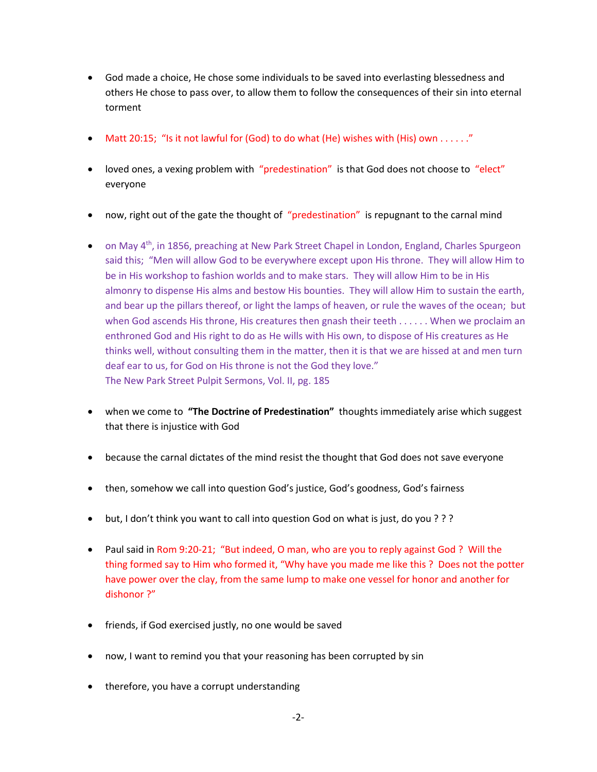- God made a choice, He chose some individuals to be saved into everlasting blessedness and others He chose to pass over, to allow them to follow the consequences of their sin into eternal torment
- Matt 20:15; "Is it not lawful for (God) to do what (He) wishes with (His) own  $\dots$ ..."
- loved ones, a vexing problem with "predestination" is that God does not choose to "elect" everyone
- now, right out of the gate the thought of "predestination" is repugnant to the carnal mind
- on May 4<sup>th</sup>, in 1856, preaching at New Park Street Chapel in London, England, Charles Spurgeon said this; "Men will allow God to be everywhere except upon His throne. They will allow Him to be in His workshop to fashion worlds and to make stars. They will allow Him to be in His almonry to dispense His alms and bestow His bounties. They will allow Him to sustain the earth, and bear up the pillars thereof, or light the lamps of heaven, or rule the waves of the ocean; but when God ascends His throne, His creatures then gnash their teeth . . . . . . When we proclaim an enthroned God and His right to do as He wills with His own, to dispose of His creatures as He thinks well, without consulting them in the matter, then it is that we are hissed at and men turn deaf ear to us, for God on His throne is not the God they love." The New Park Street Pulpit Sermons, Vol. II, pg. 185
- when we come to **"The Doctrine of Predestination"** thoughts immediately arise which suggest that there is injustice with God
- because the carnal dictates of the mind resist the thought that God does not save everyone
- then, somehow we call into question God's justice, God's goodness, God's fairness
- but, I don't think you want to call into question God on what is just, do you ???
- Paul said in Rom 9:20-21; "But indeed, O man, who are you to reply against God ? Will the thing formed say to Him who formed it, "Why have you made me like this ? Does not the potter have power over the clay, from the same lump to make one vessel for honor and another for dishonor ?"
- friends, if God exercised justly, no one would be saved
- now, I want to remind you that your reasoning has been corrupted by sin
- therefore, you have a corrupt understanding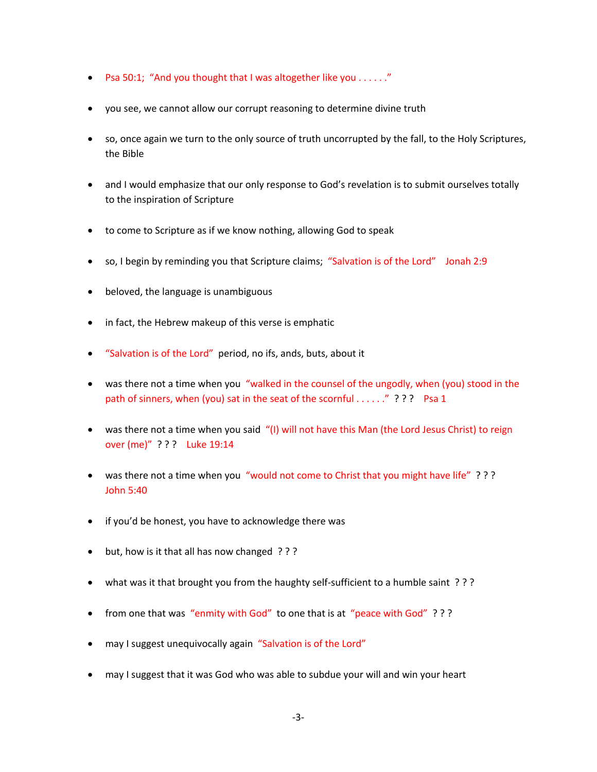- Psa 50:1; "And you thought that I was altogether like you . . . . . . "
- you see, we cannot allow our corrupt reasoning to determine divine truth
- so, once again we turn to the only source of truth uncorrupted by the fall, to the Holy Scriptures, the Bible
- and I would emphasize that our only response to God's revelation is to submit ourselves totally to the inspiration of Scripture
- to come to Scripture as if we know nothing, allowing God to speak
- so, I begin by reminding you that Scripture claims; "Salvation is of the Lord" Jonah 2:9
- beloved, the language is unambiguous
- in fact, the Hebrew makeup of this verse is emphatic
- "Salvation is of the Lord" period, no ifs, ands, buts, about it
- was there not a time when you "walked in the counsel of the ungodly, when (you) stood in the path of sinners, when (you) sat in the seat of the scornful . . . . . . " ? ? ? Psa 1
- was there not a time when you said "(I) will not have this Man (the Lord Jesus Christ) to reign over (me)" ? ? ? Luke 19:14
- was there not a time when you "would not come to Christ that you might have life" ??? John 5:40
- if you'd be honest, you have to acknowledge there was
- but, how is it that all has now changed ???
- what was it that brought you from the haughty self-sufficient to a humble saint ???
- from one that was "enmity with God" to one that is at "peace with God" ???
- may I suggest unequivocally again "Salvation is of the Lord"
- may I suggest that it was God who was able to subdue your will and win your heart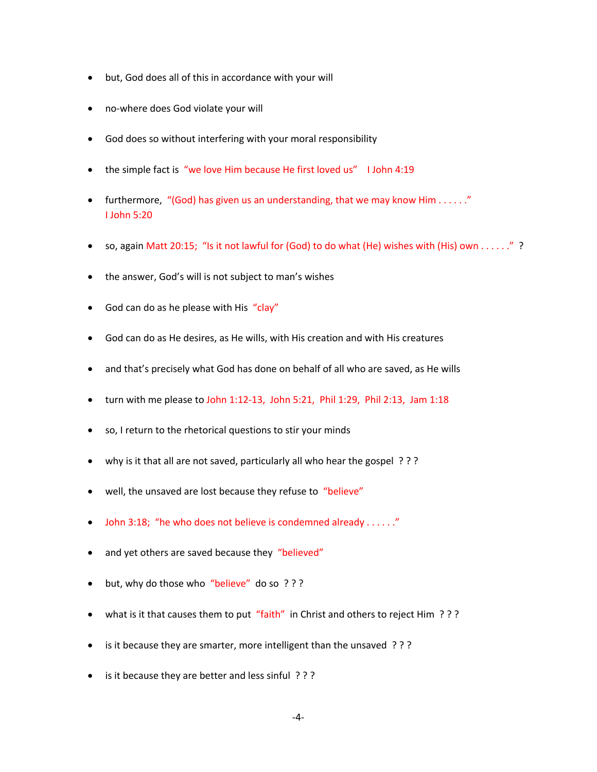- but, God does all of this in accordance with your will
- no-where does God violate your will
- God does so without interfering with your moral responsibility
- the simple fact is "we love Him because He first loved us" I John 4:19
- furthermore, "(God) has given us an understanding, that we may know Him . . . . . . " I John 5:20
- so, again Matt 20:15; "Is it not lawful for (God) to do what (He) wishes with (His) own . . . . . ." ?
- the answer, God's will is not subject to man's wishes
- God can do as he please with His "clay"
- God can do as He desires, as He wills, with His creation and with His creatures
- and that's precisely what God has done on behalf of all who are saved, as He wills
- turn with me please to John 1:12-13, John 5:21, Phil 1:29, Phil 2:13, Jam 1:18
- so, I return to the rhetorical questions to stir your minds
- why is it that all are not saved, particularly all who hear the gospel ? ? ?
- well, the unsaved are lost because they refuse to "believe"
- John 3:18; "he who does not believe is condemned already . . . . . ."
- and yet others are saved because they "believed"
- but, why do those who "believe" do so ???
- what is it that causes them to put "faith" in Christ and others to reject Him ???
- is it because they are smarter, more intelligent than the unsaved ???
- is it because they are better and less sinful ? ? ?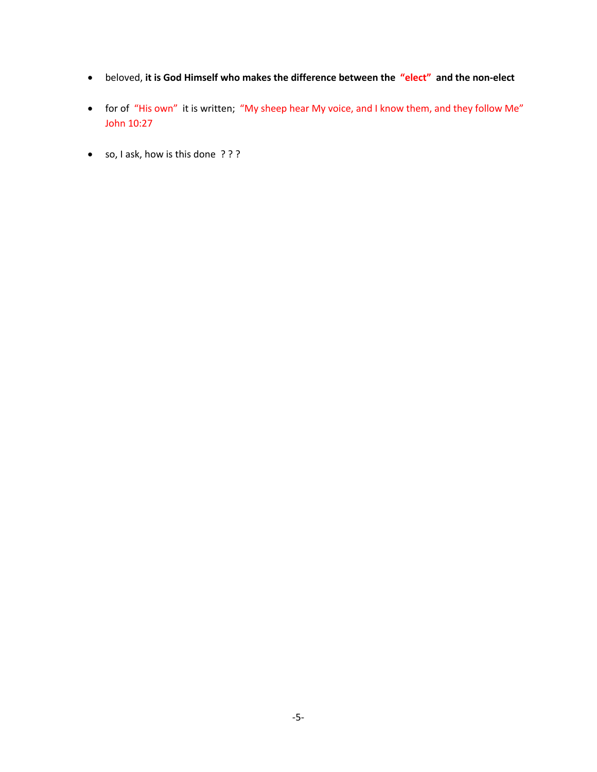- beloved, **it is God Himself who makes the difference between the "elect" and the non-elect**
- for of "His own" it is written; "My sheep hear My voice, and I know them, and they follow Me" John 10:27
- so, I ask, how is this done ? ? ?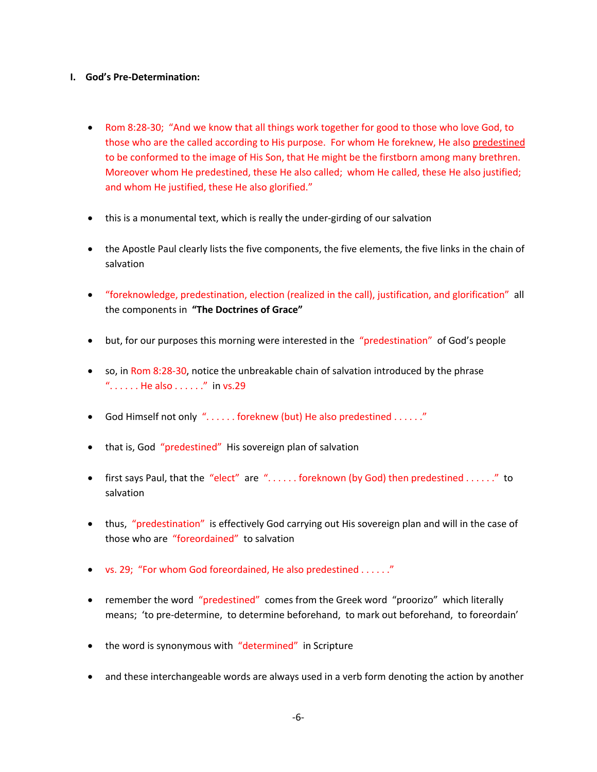## **I. God's Pre-Determination:**

- Rom 8:28-30; "And we know that all things work together for good to those who love God, to those who are the called according to His purpose. For whom He foreknew, He also predestined to be conformed to the image of His Son, that He might be the firstborn among many brethren. Moreover whom He predestined, these He also called; whom He called, these He also justified; and whom He justified, these He also glorified."
- this is a monumental text, which is really the under-girding of our salvation
- the Apostle Paul clearly lists the five components, the five elements, the five links in the chain of salvation
- "foreknowledge, predestination, election (realized in the call), justification, and glorification" all the components in **"The Doctrines of Grace"**
- but, for our purposes this morning were interested in the "predestination" of God's people
- so, in Rom 8:28-30, notice the unbreakable chain of salvation introduced by the phrase ".  $\dots$  . He also  $\dots$ . . . . . " in vs.29
- God Himself not only ". . . . . . foreknew (but) He also predestined . . . . . ."
- that is, God "predestined" His sovereign plan of salvation
- first says Paul, that the "elect" are "...... foreknown (by God) then predestined ......" to salvation
- thus, "predestination" is effectively God carrying out His sovereign plan and will in the case of those who are "foreordained" to salvation
- vs. 29; "For whom God foreordained, He also predestined . . . . . ."
- remember the word "predestined" comes from the Greek word "proorizo" which literally means; 'to pre-determine, to determine beforehand, to mark out beforehand, to foreordain'
- the word is synonymous with "determined" in Scripture
- and these interchangeable words are always used in a verb form denoting the action by another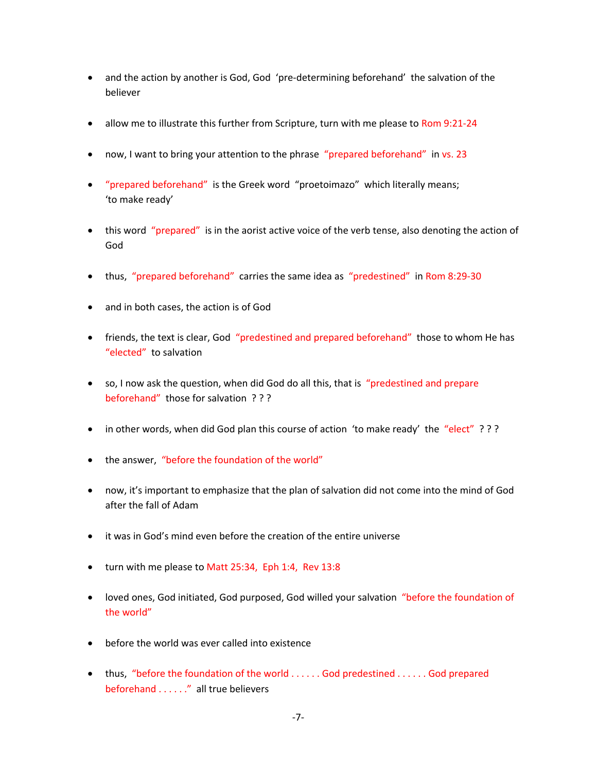- and the action by another is God, God 'pre-determining beforehand' the salvation of the believer
- allow me to illustrate this further from Scripture, turn with me please to Rom 9:21-24
- now, I want to bring your attention to the phrase "prepared beforehand" in vs. 23
- "prepared beforehand" is the Greek word "proetoimazo" which literally means; 'to make ready'
- this word "prepared" is in the aorist active voice of the verb tense, also denoting the action of God
- thus, "prepared beforehand" carries the same idea as "predestined" in Rom 8:29-30
- and in both cases, the action is of God
- friends, the text is clear, God "predestined and prepared beforehand" those to whom He has "elected" to salvation
- so, I now ask the question, when did God do all this, that is "predestined and prepare beforehand" those for salvation ? ? ?
- in other words, when did God plan this course of action 'to make ready' the "elect" ???
- the answer, "before the foundation of the world"
- now, it's important to emphasize that the plan of salvation did not come into the mind of God after the fall of Adam
- it was in God's mind even before the creation of the entire universe
- turn with me please to Matt 25:34, Eph 1:4, Rev 13:8
- loved ones, God initiated, God purposed, God willed your salvation "before the foundation of the world"
- before the world was ever called into existence
- thus, "before the foundation of the world . . . . . . God predestined . . . . . . God prepared beforehand . . . . . ." all true believers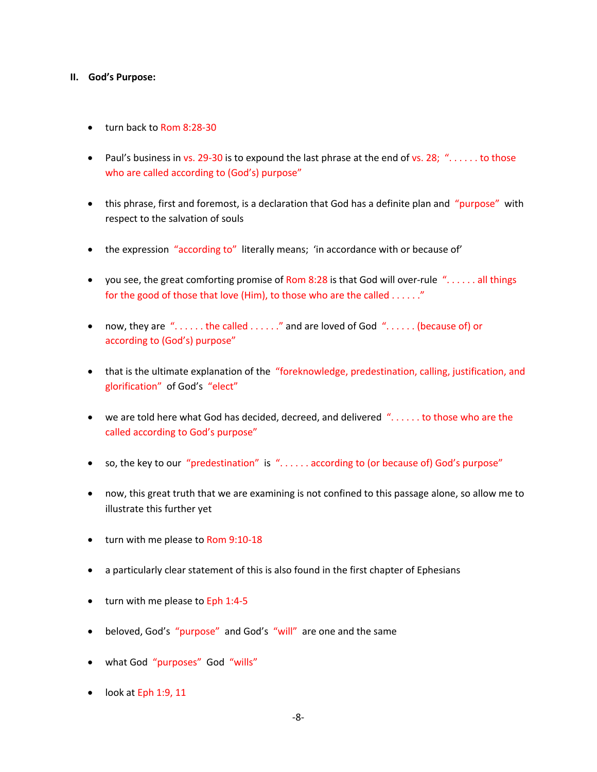#### **II. God's Purpose:**

- turn back to Rom 8:28-30
- Paul's business in vs. 29-30 is to expound the last phrase at the end of vs. 28; "..... to those who are called according to (God's) purpose"
- this phrase, first and foremost, is a declaration that God has a definite plan and "purpose" with respect to the salvation of souls
- the expression "according to" literally means; 'in accordance with or because of'
- you see, the great comforting promise of Rom 8:28 is that God will over-rule  $\ldots$ .... all things for the good of those that love (Him), to those who are the called . . . . . . "
- now, they are "...... the called ......" and are loved of God "...... (because of) or according to (God's) purpose"
- that is the ultimate explanation of the "foreknowledge, predestination, calling, justification, and glorification" of God's "elect"
- we are told here what God has decided, decreed, and delivered "...... to those who are the called according to God's purpose"
- so, the key to our "predestination" is "...... according to (or because of) God's purpose"
- now, this great truth that we are examining is not confined to this passage alone, so allow me to illustrate this further yet
- turn with me please to Rom 9:10-18
- a particularly clear statement of this is also found in the first chapter of Ephesians
- turn with me please to Eph 1:4-5
- beloved, God's "purpose" and God's "will" are one and the same
- what God "purposes" God "wills"
- look at Eph 1:9, 11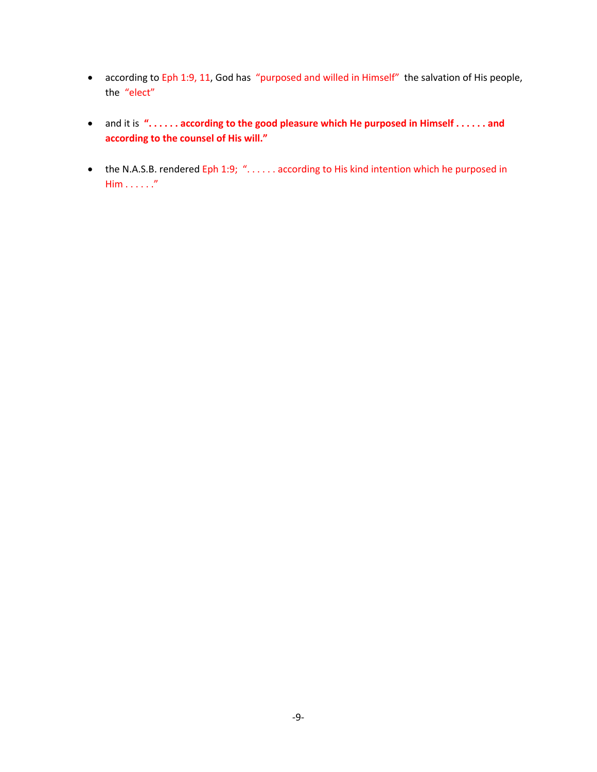- according to Eph 1:9, 11, God has "purposed and willed in Himself" the salvation of His people, the "elect"
- and it is **". . . . . . according to the good pleasure which He purposed in Himself . . . . . . and according to the counsel of His will."**
- the N.A.S.B. rendered Eph 1:9; "...... according to His kind intention which he purposed in Him . . . . . ."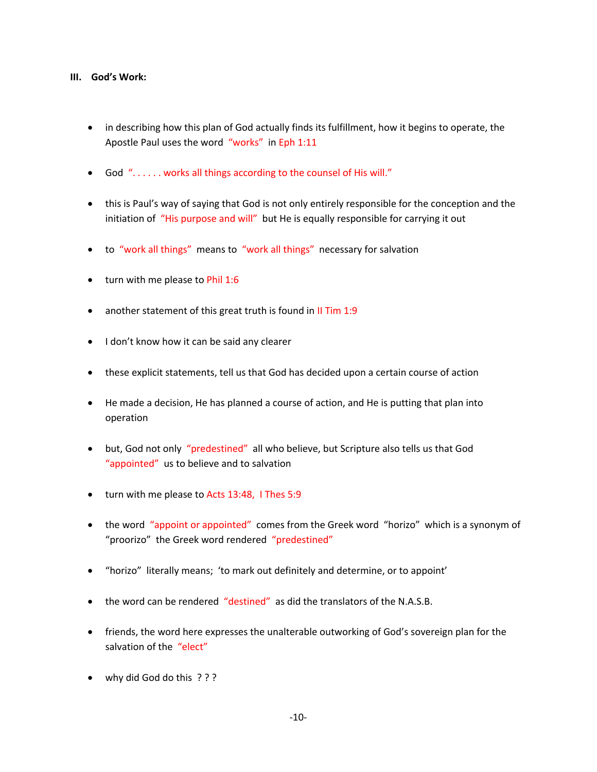### **III. God's Work:**

- in describing how this plan of God actually finds its fulfillment, how it begins to operate, the Apostle Paul uses the word "works" in Eph 1:11
- God ". . . . . . works all things according to the counsel of His will."
- this is Paul's way of saying that God is not only entirely responsible for the conception and the initiation of "His purpose and will" but He is equally responsible for carrying it out
- to "work all things" means to "work all things" necessary for salvation
- turn with me please to Phil 1:6
- another statement of this great truth is found in II Tim 1:9
- I don't know how it can be said any clearer
- these explicit statements, tell us that God has decided upon a certain course of action
- He made a decision, He has planned a course of action, and He is putting that plan into operation
- but, God not only "predestined" all who believe, but Scripture also tells us that God "appointed" us to believe and to salvation
- turn with me please to Acts 13:48, I Thes 5:9
- the word "appoint or appointed" comes from the Greek word "horizo" which is a synonym of "proorizo" the Greek word rendered "predestined"
- "horizo" literally means; 'to mark out definitely and determine, or to appoint'
- the word can be rendered "destined" as did the translators of the N.A.S.B.
- friends, the word here expresses the unalterable outworking of God's sovereign plan for the salvation of the "elect"
- why did God do this ? ? ?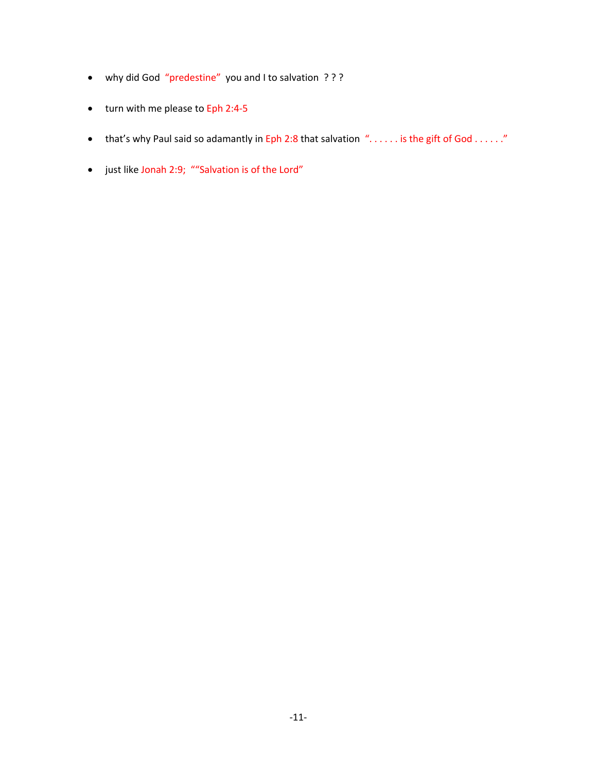- why did God "predestine" you and I to salvation ? ? ?
- turn with me please to Eph 2:4-5
- that's why Paul said so adamantly in Eph 2:8 that salvation "...... is the gift of God ......"
- just like Jonah 2:9; ""Salvation is of the Lord"